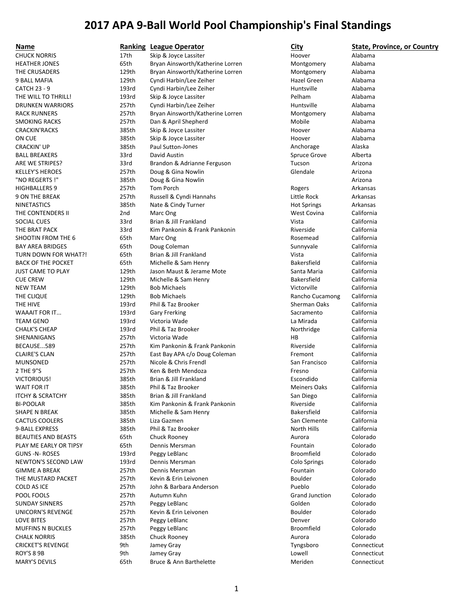PLAY ME EARLY OR TIPSY 65th Dennis Mersman

**Name Ranking League Operator City State, Province, or Country** CHUCK NORRIS **CHUCK NORRIS** 17th Skip & Joyce Lassiter **Alabama** Hoover Alabama HEATHER JONES 65th Bryan Ainsworth/Katherine Lorren Montgomery Alabama THE CRUSADERS 129th Bryan Ainsworth/Katherine Lorren Montgomery Alabama 9 BALL MAFIA 129th Cyndi Harbin/Lee Zeiher 129th Hazel Green Alabama CATCH 23 - 9 193rd Cyndi Harbin/Lee Zeiher Huntsville Huntsville Alabama THE WILL TO THRILL! 193rd Skip & Joyce Lassiter The Melham Pelham Alabama DRUNKEN WARRIORS **257th** Cyndi Harbin/Lee Zeiher **Machina Huntsville** Alabama RACK RUNNERS **257th Bryan Ainsworth/Katherine Lorren** Montgomery Alabama SMOKING RACKS **257th** Dan & April Shepherd Mobile Mobile Alabama CRACKIN'RACKS 385th Skip & Joyce Lassiter Hoover Alabama ON CUE **1988** The Skip & Joyce Lassiter Alabama and Hoover Alabama Alabama CRACKIN' UP 385th Paul Sutton-Jones Anchorage Alaska BALL BREAKERS 33rd David Austin Spruce Grove Alberta ARE WE STRIPES? The State State State Brandon & Adrianne Ferguson Tucson Tucson Arizona KELLEY'S HEROES 257th Doug & Gina Nowlin Glendale Arizona "NO REGERTS !" 385th Doug & Gina Nowlin Arizona HIGHBALLERS 9 257th Tom Porch Rogers Arkansas 9 ON THE BREAK 257th Russell & Cyndi Hannahs Little Rock Arkansas NINETASTICS **Arkansas** 385th Nate & Cindy Turner **Hot Springs** Arkansas THE CONTENDERS II 2nd Marc Ong 2008 2008 Note to Marc Ong West Covina California SOCIAL CUES **33rd** Brian & Jill Frankland **Brian 2006** Vista California THE BRAT PACK **1988 California** 33rd Kim Pankonin & Frank Pankonin **Riverside** California SHOOTIN FROM THE 6 65th Marc Ong Rosemead California BAY AREA BRIDGES 65th Doug Coleman Sunnyvale California TURN DOWN FOR WHAT?! 65th Brian & Jill Frankland Vista Vista California BACK OF THE POCKET **65th** Michelle & Sam Henry **Bakersfield** California JUST CAME TO PLAY **129th** Jason Maust & Jerame Mote Santa Maria California CUE CREW 129th Michelle & Sam Henry Bakersfield California NEW TEAM 129th Bob Michaels 129th Bob Michaels 129th Chicago 2012 129th Nickels 129th Bob Michaels THE CLIQUE 129th Bob Michaels **129th Bob Michaels** Rancho Cucamong California THE HIVE 1930 193rd Phil & Taz Brooker 1930 1930 1945 Sherman Oaks California WAAAIT FOR IT... 193rd Gary Frerking Sacramento California TEAM GENO 193rd Victoria Wade La Mirada California CHALK'S CHEAP 193rd Phil & Taz Brooker 1930 Northridge California SHENANIGANS 257th Victoria Wade HB California BECAUSE...589 257th Kim Pankonin & Frank Pankonin Riverside California CLAIRE'S CLAN CLAIRE'S CLAN 257th East Bay APA c/o Doug Coleman Fremont California MUNSONED 257th Nicole & Chris Frendl San Francisco California 2 THE 9"S 257th Ken & Beth Mendoza 257th Ken & Beth Mendoza VICTORIOUS! 385th Brian & Jill Frankland Escondido California WAIT FOR IT **SECUTE 12 TO A SECUTE 2018 1385th** Phil & Taz Brooker Meiners Oaks California ITCHY & SCRATCHY **SAN SAN SAN A SAN A SAN DIEGO A SAN SAN SAN DIEGO** California BI-POOLAR **385th Kim Pankonin & Frank Pankonin** Riverside California SHAPE N BREAK **385th Michelle & Sam Henry Channel Account California** CACTUS COOLERS **385th** Liza Gazmen San Clemente California 9‐BALL EXPRESS California 385th Phil & Taz Brooker North Hills California BEAUTIES AND BEASTS **65th** Chuck Rooney **Colorado** Colorado Colorado Colorado Colorado Colorado Colorado Colorado<br>
PLAY ME EARLY OR TIPSY 65th Dennis Mersman GUNS -N-ROSES 193rd Peggy LeBlanc Colorado Broomfield Colorado NEWTON'S SECOND LAW 193rd Dennis Mersman Colo Springs Colorado GIMME A BREAK **257th** Dennis Mersman **Colorado Fountain** Colorado THE MUSTARD PACKET **257th Kevin & Erin Leivonen** and the colorado Boulder Colorado COLD AS ICE 257th John & Barbara Anderson Pueblo Colorado POOL FOOLS 257th Autumn Kuhn Grand Junction Colorado SUNDAY SINNERS 257th Peggy LeBlanc Golden Colorado UNICORN'S REVENGE **257th Kevin & Erin Leivonen** Boulder Boulder Colorado LOVE BITES **257th Peggy LeBlanc** 257th Peggy LeBlanc 2001 2001 2012 Denver Colorado MUFFINS N BUCKLES 
and the Peggy LeBlanc 
and the Colorado Colorado Colorado Colorado  $\blacksquare$  257th Peggy LeBlanc CHALK NORRIS 385th Chuck Rooney Aurora Colorado CRICKET'S REVENGE **120 CONNECT CRICKET'S REVENGE** 9th Jamey Gray **Tyngsboro** Connecticut ROY'S 8 9B 9th Jamey Gray Lowell Connecticut MARY'S DEVILS CONNECT GET A GET BRUCE & Ann Barthelette Connecticut Meriden Connecticut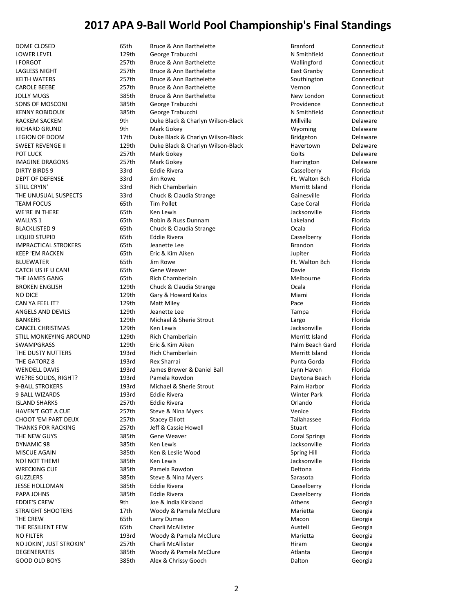DOME CLOSED 65th Bruce & Ann Barthelette Branford Branford Connecticut LOWER LEVEL **129th George Trabucchi** 129th George Trabucchi N Smithfield Connecticut I FORGOT **257th** Bruce & Ann Barthelette **257th** Bruce & Ann Barthelette **National Accommension** Connecticut LAGLESS NIGHT **257th** Bruce & Ann Barthelette **East Granby** Connecticut KEITH WATERS **257th** Bruce & Ann Barthelette Southington Connecticut CAROLE BEEBE 257th Bruce & Ann Barthelette Vernon Connecticut JOLLY MUGS **385th** Bruce & Ann Barthelette New London Connecticut SONS OF MOSCONI **385th** George Trabucchi **Connecticut** Providence Connecticut KENNY ROBIDOUX **385th George Trabucchi** N Smithfield Connecticut RACKEM SACKEM 9th Duke Black & Charlyn Wilson-Black Millville Delaware RICHARD GRUND 9th Mark Gokey Number 2012 19th Mark Gokey Number 2013 19th Wyoming Delaware LEGION OF DOOM 17th Duke Black & Charlyn Wilson-Black Bridgeton Delaware SWEET REVENGE II 129th Duke Black & Charlyn Wilson-Black Havertown Delaware POT LUCK 257th Mark Gokey Golts Delaware IMAGINE DRAGONS **257th** Mark Gokey **Accord Mark Harrington** Delaware DIRTY BIRDS 9 33rd Eddie Rivera Casselberry Florida DEPT OF DEFENSE 33rd Jim Rowe Ft. Walton Bch Florida STILL CRYIN' **STILL CRYIN'** 33rd Rich Chamberlain **Merritt Island** Florida THE UNUSUAL SUSPECTS 33rd Chuck & Claudia Strange Cames Gainesville Florida TEAM FOCUS 65th Tim Pollet Cape Coral Florida Florida 65th Tim Pollet Cape Coral Florida WE'RE IN THERE THE IN THERE THE SOLUTION OF STATE OF STATE REAL CONTROLLER THE SOLUTION OF STATE SERVIDE STATE WALLYS 1 **65th** Robin & Russ Dunnam **Communist Clareland** Florida Robin & Russ Dunnam BLACKLISTED 9 65th Chuck & Claudia Strange Chuck Chuck Chuck 3 Claudia Strange Cala LIQUID STUPID 65th Eddie Rivera Casselberry Florida IMPRACTICAL STROKERS 65th Jeanette Lee **Brandon** Brandon Florida KEEP 'EM RACKEN 65th Eric & Kim Aiken Jupiter Florida BLUEWATER **65th** Jim Rowe **Fig. 10 and Formula** Fe. Walton Bch Florida CATCH US IF U CAN! 65th Gene Weaver Davie Florida THE JAMES GANG **65th** Rich Chamberlain **Reserves And Albertain** Melbourne Florida BROKEN ENGLISH 129th Chuck & Claudia Strange Cocala Cocala Florida NO DICE **129th Gary & Howard Kalos** Miami Miami Florida CAN YA FEEL IT? 129th Matt Miley Pace Florida ANGELS AND DEVILS **129th** Jeanette Lee Tampa Tampa Florida BANKERS Florida 129th Michael & Sherie Strout Largo Largo Florida CANCEL CHRISTMAS 129th Ken Lewis Jacksonville Florida STILL MONKEYING AROUND 129th Rich Chamberlain Merritt Island Florida SWAMPGRASS 129th Eric & Kim Aiken Palm Beach Gard Florida THE DUSTY NUTTERS **193rd** Rich Chamberlain Merritt Island Florida THE GATORZ 8 193rd Rex Sharrai 1931 - Rex Sharrai Rex Sharrai Rex 2014 - Punta Gorda Riorida WENDELL DAVIS **193rd** James Brewer & Daniel Ball **Lynn Haven** Florida WE?RE SOLIDS, RIGHT? 193rd Pamela Rowdon Daytona Beach Florida 9‐BALL STROKERS 193rd Michael & Sherie Strout Palm Harbor Florida 9 BALL WIZARDS 193rd Eddie Rivera Winter Park Florida ISLAND SHARKS 257th Eddie Rivera Orlando Florida HAVEN'T GOT A CUE 257th Steve & Nina Myers 257th Steve & Nina Myers 257th Steve & Nina Myers 257th Steve & Nina Myers 257th Steve & Nina Myers 257th Steve & Nina Myers 257th Steve & Nina Myers 2012 CHOOT 'EM PART DEUX 257th Stacey Elliott The State of Tallahassee Florida THANKS FOR RACKING **257th** Jeff & Cassie Howell **Communist Constructs** Stuart Florida THE NEW GUYS Florida **385th** Gene Weaver Coral Springs Coral Springs Florida DYNAMIC 98 385th Ken Lewis Jacksonville Florida MISCUE AGAIN 6 1990 1385th Ken & Leslie Wood Spring Hill Spring Hill Florida NO! NOT THEM! The Same Contact Assembly of the Same States of the Same States of The States of The States of T WRECKING CUE 385th Pamela Rowdon Deltona Florida GUZZLERS 385th Steve & Nina Myers Sarasota Florida JESSE HOLLOMAN 385th Eddie Rivera Casselberry Florida PAPA JOHNS 385th Eddie Rivera Casselberry Florida EDDIE'S CREW 60 9th Joe & India Kirkland Athens Athens Georgia STRAIGHT SHOOTERS **17th Woody & Pamela McClure** Marietta Marietta Georgia THE CREW 65th Larry Dumas **Macon** Macon Georgia THE RESILIENT FEW **65th Charli McAllister Charli McAllister** Austell Austell Georgia NO FILTER 193rd Woody & Pamela McClure 193rd Woody & Pamela McClure Marietta Georgia NO JOKIN', JUST STROKIN' 257th Charli McAllister Hiram Georgia DEGENERATES 60 1385th Woody & Pamela McClure 60 12 12 12 13 Atlanta 6eorgia GOOD OLD BOYS **385th** Alex & Chrissy Gooch **Dalton** Dalton Georgia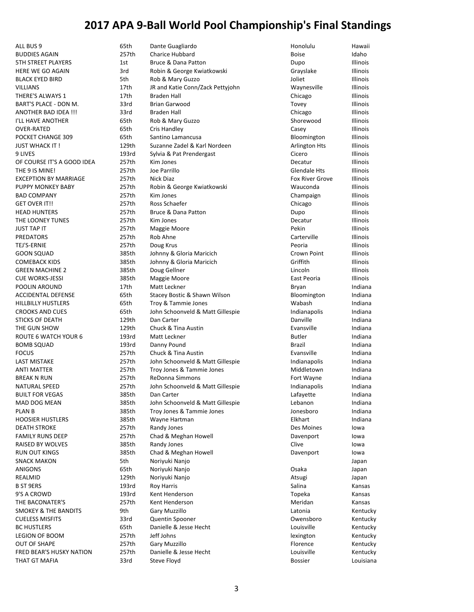ALL BUS 9 65th Dante Guagliardo **Access 1965** Honolulu Hawaii Hawaii BUDDIES AGAIN 257th Charice Hubbard 2000 100 Boise Idaho 5TH STREET PLAYERS **1st Bruce & Dana Patton** 1st Dupo **Dupo** Illinois HERE WE GO AGAIN 11 12 3rd Robin & George Kwiatkowski Grayslake Grayslake Illinois BLACK EYED BIRD 5th Rob & Mary Guzzo Joliet Illinois VILLIANS 17th JR and Katie Conn/Zack Pettyjohn Waynesville Illinois THERE'S ALWAYS 1 17th Braden Hall **Information Chicago** Illinois BART'S PLACE - DON M. 4 33rd Brian Garwood The Control of Tovey Towey Illinois ANOTHER BAD IDEA !!! 33rd Braden Hall 33rd Braden Hall Chicago Illinois I'LL HAVE ANOTHER 65th Rob & Mary Guzzo Shorewood Illinois OVER-RATED 65th Cris Handley **Casey Casey Illinois** Casey Illinois POCKET CHANGE 309 65th Santino Lamancusa CHANGE 100 Bloomington Illinois JUST WHACK IT ! THE SUZAINE SUZAINE Zadel & Karl Nordeen Arlington Hts Illinois 9 LIVES 193rd Sylvia & Pat Prendergast Cicero Illinois OF COURSE IT'S A GOOD IDEA 257th Kim Jones 2000 100 100 2001 2002 100 2004 257th Kim Jones 2002 257th 2012 257th 2012 257th 2012 257th 2012 257th 2012 257th 2012 257th 2012 257th 2012 257th 2012 257th 2012 257th 2012 257th THE 9 IS MINE! 257th Joe Parrillo Glendale Hts Illinois EXCEPTION BY MARRIAGE 257th Nick Diaz Fox River Grove Illinois PUPPY MONKEY BABY **257th** Robin & George Kwiatkowski **Wauconda** Illinois BAD COMPANY **257th** Kim Jones **Champaign** Illinois GET OVER IT!! 257th Ross Schaefer Chicago Chicago Illinois HEAD HUNTERS **257th Bruce & Dana Patton Communist Communist Communist Communist Communist Communist Communist Communist Communist Communist Communist Communist Communist Communist Communist Communist Communist Communist** THE LOONEY TUNES **257th** Kim Jones **Contained Accounts** Decatur Illinois JUST TAP IT 257th Maggie Moore Pekin Illinois PREDATORS 257th Rob Ahne Carterville Illinois TEJ'S-ERNIE 257th Doug Krus 2000 Peoria Peoria Illinois GOON SQUAD 385th Johnny & Gloria Maricich Crown Point Illinois COMEBACK KIDS **385th** Johnny & Gloria Maricich Griffith Griffith Illinois GREEN MACHINE 2 **385th** Doug Gellner **Communist Communist Communist Communist Communist Communist Communist Communist Communist Communist Communist Communist Communist Communist Communist Communist Communist Communist Comm** CUE WORKS‐JESSI 385th Maggie Moore East Peoria Illinois POOLIN AROUND 17th Matt Leckner Bryan Indiana ACCIDENTAL DEFENSE **65th** Stacey Bostic & Shawn Wilson Bloomington Indiana HILLBILLY HUSTLERS **65th Troy & Tammie Jones 1988 CONVIDENT** MacAustraliana CROOKS AND CUES **65th** John Schoonveld & Matt Gillespie **Indianapolis** Indiana STICKS OF DEATH 129th Dan Carter Carter Carter Danville Danville Indiana THE GUN SHOW **129th** Chuck & Tina Austin **Example 2018** Evansville Indiana ROUTE 6 WATCH YOUR 6 193rd Matt Leckner **193rd Matt Leckner 193rd** Matt Leckner **193rd** Matt Leckner **193rd** Matt Leckner **193rd** BOMB SQUAD 193rd Danny Pound 1930 Bomb Brazil Brazil Indiana FOCUS **257th** Chuck & Tina Austin **Example 257th** Chuck & Tina Austin Evansville **Evansville** LAST MISTAKE THE 257th John Schoonveld & Matt Gillespie The Indianapolis Indiana ANTI MATTER **257th** Troy Jones & Tammie Jones Middletown Indiana BREAK N RUN 257th ReDonna Simmons **Fort Wayne** Indiana NATURAL SPEED 257th John Schoonveld & Matt Gillespie and Indianapolis Indiana BUILT FOR VEGAS 385th Dan Carter Lafayette Indiana MAD DOG MEAN 1992 SASth John Schoonveld & Matt Gillespie and Lebanon and Indiana PLAN B 385th Troy Jones & Tammie Jones 305th Troy Jonesboro Indiana HOOSIER HUSTLERS **1985th** Wayne Hartman **Elkhart Indiana** Elkhart Indiana DEATH STROKE 257th Randy Jones Des Moines Iowa FAMILY RUNS DEEP **257th** Chad & Meghan Howell **Changes** Davenport Iowa RAISED BY WOLVES **385th** Randy Jones **Clive** Clive **Clive** Iowa RUN OUT KINGS 385th Chad & Meghan Howell Davenport Iowa SNACK MAKON 5th Noriyuki Nanjo Japan ANIGONS 65th Noriyuki Nanjo Osaka Japan REALMID 129th Noriyuki Nanjo 129th Noriyuki Nanjo 129th Atsugi Atsugi Japan B ST 9ERS 193rd Roy Harris Salina Kansas 9'S A CROWD 193rd Kent Henderson Topeka Kansas THE BACONATER'S 257th Kent Henderson Meridan Kansas SMOKEY & THE BANDITS 9th Gary Muzzillo **Candidates and Contact Cary Active Candidates** Kentucky CUELESS MISFITS **33rd** Quentin Spooner **CUELESS MISFITS CUELESS MISFITS** BC HUSTLERS 65th Danielle & Jesse Hecht Christian Louisville Kentucky LEGION OF BOOM **257th** Jeff Johns **Communist Communist Communist Communist Communist Communist Communist Communist Communist Communist Communist Communist Communist Communist Communist Communist Communist Communist Communi** OUT OF SHAPE 257th Gary Muzzillo **2000 COVERSING COVERTS COVERTS** Florence **Coverts** Kentucky FRED BEAR'S HUSKY NATION 257th Danielle & Jesse Hecht Christian Louisville Kentucky THAT GT MAFIA 33rd Steve Floyd Bossier Louisiana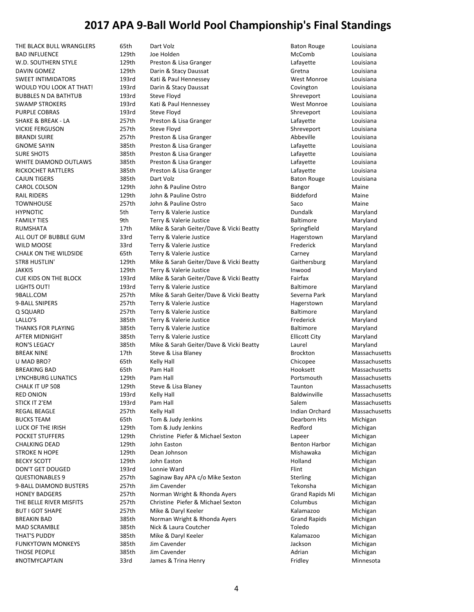THE BLACK BULL WRANGLERS 65th Dart Volz Baton Rouge Louisiana BAD INFLUENCE **129th** Joe Holden **129th McComb** Louisiana W.D. SOUTHERN STYLE **129th** Preston & Lisa Granger **Lage Lafayette** Louisiana DAVIN GOMEZ **129th Darin & Stacy Daussat** Gretna Gretna Louisiana SWEET INTIMIDATORS 
and the state of the Monroe and Hennessey and Mest Monroe Monroe Louisiana WOULD YOU LOOK AT THAT! 193rd Darin & Stacy Daussat Covington Covington Louisiana BUBBLES N DA BATHTUB 193rd Steve Floyd Steve Floyd Shreveport Louisiana SWAMP STROKERS **193rd** Kati & Paul Hennessey Nest Monroe Louisiana PURPLE COBRAS 193rd Steve Floyd Shreveport Louisiana SHAKE & BREAK - LA 257th Preston & Lisa Granger Cases and Lafayette Louisiana VICKIE FERGUSON **STEVE STEVE FROM STEVE FIGUS** SHREVER SHREVED SHREVED SHREVED SHREVED SHREVED SHREVED SHREVED SH BRANDI SUIRE 257th Preston & Lisa Granger Abbeville Louisiana GNOME SAYIN **385th** Preston & Lisa Granger **Communist Career Constructs** Louisiana SURE SHOTS **385th** Preston & Lisa Granger **Constant Accord Lafayette** Louisiana WHITE DIAMOND OUTLAWS 385th Preston & Lisa Granger and Lafayette Lafayette Louisiana RICKOCHET RATTLERS **1985th** Preston & Lisa Granger **Lage Lafayette** Louisiana CAJUN TIGERS **1985th** Dart Volz Baton Rouge Louisiana **Baton Rouge** Louisiana CAROL COLSON 129th John & Pauline Ostro 120 Bangor Maine RAIL RIDERS **129th** John & Pauline Ostro **129th** John And Biddeford Biddeford Maine TOWNHOUSE 257th John & Pauline Ostro Saco Maine HYPNOTIC **Substitute Settima Terry & Valerie Justice** Contains a Dundalk Maryland FAMILY TIES THE STAMILY TIES STATES AND TERRY & Valerie Justice States and Dealtimore Maryland RUMSHATA 17th Mike & Sarah Geiter/Dave & Vicki Beatty Springfield Maryland ALL OUT OF BUBBLE GUM 33rd Terry & Valerie Justice **Hagerstown** Maryland WILD MOOSE The State of Maryland State Terry & Valerie Justice The State of Tederick Maryland CHALK ON THE WILDSIDE 65th Terry & Valerie Justice Carney Carney Carney Maryland STR8 HUSTLIN' 129th Mike & Sarah Geiter/Dave & Vicki Beatty Gaithersburg Maryland JAKKIS 129th Terry & Valerie Justice Inwood Maryland CUE KIDS ON THE BLOCK 193rd Mike & Sarah Geiter/Dave & Vicki Beatty Fairfax Maryland<br>LIGHTS OUT! 193rd Terry & Valerie Justice Sarah Getter Maryland LIGHTS OUT! 193rd Terry & Valerie Justice and Baltimore Maryland Maryland 9BALL.COM 257th Mike & Sarah Geiter/Dave & Vicki Beatty Severna Park Maryland 9-BALL SNIPERS 257th Terry & Valerie Justice CHE Hagerstown Maryland Q SQUARD 257th Terry & Valerie Justice Baltimore Maryland LALLO'S The Subsetted Controller of the Sandwick Controller Maryland State of the Sandwick Maryland Maryland THANKS FOR PLAYING **385th** Terry & Valerie Justice **Baltimore** Baltimore Maryland AFTER MIDNIGHT **AFTER MIDNIGHT** 385th Terry & Valerie Justice **AFTER MIDNIGHT** Maryland RON'S LEGACY **1988** 385th Mike & Sarah Geiter/Dave & Vicki Beatty Laurel Maryland BREAK NINE 17th Steve & Lisa Blaney 17th Steve & Lisa Blaney 17th Steve & Lisa Blaney 17th Steve & Lisa Blaney U MAD BRO? 65th Kelly Hall Chicopee Massachusetts BREAKING BAD 65th Pam Hall Hooksett Massachusetts LYNCHBURG LUNATICS 129th Pam Hall Portsmouth Massachusetts CHALK IT UP 508 129th Steve & Lisa Blaney Taunton Massachusetts RED ONION 193rd Kelly Hall Baldwinville Massachusetts Massachusetts STICK IT 2'EM 193rd Pam Hall Structure Contains the Salem Massachusetts REGAL BEAGLE 257th Kelly Hall 257th Kelly Hall Indian Orchard Massachusetts BUCKS TEAM 65th Tom & Judy Jenkins Communication Dearborn Hts Michigan LUCK OF THE IRISH 129th 129th Tom & Judy Jenkins The Communication of Redford Michigan POCKET STUFFERS TO THE 129th Christine Piefer & Michael Sexton Lapeer Christine Michigan CHALKING DEAD 129th John Easton **129th John Easton** Benton Harbor Michigan STROKE N HOPE 129th Dean Johnson Mishawaka Michigan BECKY SCOTT 129th John Easton Holland Michigan DON'T GET DOUGED 193rd Lonnie Ward 193rd Flint Flint Michigan QUESTIONABLES 9 257th Saginaw Bay APA c/o Mike Sexton Sterling Sterling Michigan 9-BALL DIAMOND BUSTERS 257th Jim Cavender The Communication of Tekonsha Michigan HONEY BADGERS 257th Norman Wright & Rhonda Ayers Grand Rapids Mi Michigan THE BELLE RIVER MISFITS 257th Christine Piefer & Michael Sexton Columbus Michigan BUT I GOT SHAPE 257th Mike & Daryl Keeler Communication Chalamazoo Michigan BREAKIN BAD **385th** Norman Wright & Rhonda Ayers **Grand Rapids** Michigan MAD SCRAMBLE **1985th** Nick & Laura Coutcher **Nichigan** Toledo Michigan THAT'S PUDDY **Solut Accord Mike & Daryl Keeler** Change and Michigan Michigan Michigan FUNKYTOWN MONKEYS 385th Jim Cavender **Gramman Constructs** Jackson Michigan THOSE PEOPLE 385th Jim Cavender Adrian Michigan #NOTMYCAPTAIN 33rd James & Trina Henry Fridley Minnesota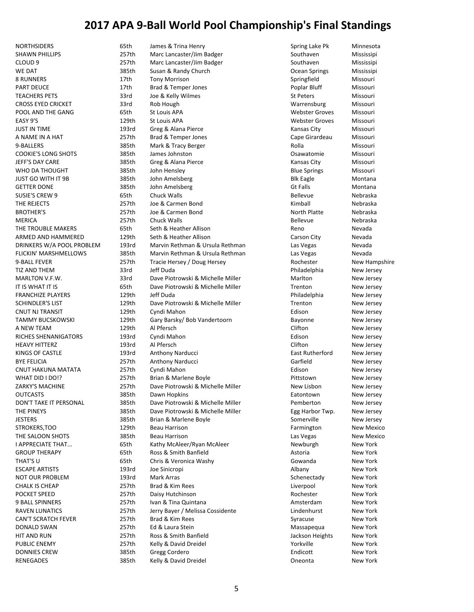NORTHSIDERS 65th James & Trina Henry Spring Lake Pk Minnesota SHAWN PHILLIPS **257th** Marc Lancaster/Jim Badger Southaven Mississipi CLOUD 9 257th Marc Lancaster/Jim Badger Southaven Mississipi WE DAT **385th** Susan & Randy Church **Channel Communist Communist Communist Communist Communist Communist Communist Communist Communist Communist Communist Communist Communist Communist Communist Communist Communist Communi** 8 RUNNERS 17th Tony Morrison Springfield Missouri PART DEUCE The State of the Brad & Temper Jones The Poplar Bluff Missouri TEACHERS PETS TEACHERS PETS And Said Joe & Kelly Wilmes St Peters St Peters Missouri CROSS EYED CRICKET 33rd Rob Hough Warrensburg Missouri POOL AND THE GANG **65th** St Louis APA **State Container St Louis APA** Webster Groves Missouri EASY 9'S 129th St Louis APA Webster Groves Missouri JUST IN TIME **193rd** Greg & Alana Pierce **193rd** Greg & Alana Pierce Kansas City Missouri A NAME IN A HAT **257th** Brad & Temper Jones **Cape Girardeau** Missouri 9‐BALLERS **385th Mark & Tracy Berger** Server Bolla Missouri Missouri COOKIE'S LONG SHOTS 385th James Johnston Osawatomie Missouri JEFF'S DAY CARE **385th Greg & Alana Pierce 1986** Missouri Chansas City Missouri WHO DA THOUGHT **385th** John Hensley **Blue Springs** Missouri Missouri JUST GO WITH IT 9B 385th John Amelsberg Supervisors and Blk Eagle Montana GETTER DONE 385th John Amelsberg Gt Falls Montana SUSIE'S CREW 9 **65th** Chuck Walls **Chuck Media Accompany of the Chuck Walls** Bellevue Nebraska THE REJECTS **1988** 257th Joe & Carmen Bond 1997 Controlled Methods Nebraska BROTHER'S **257th** Joe & Carmen Bond **Carmen Bond** North Platte Nebraska MERICA 257th Chuck Walls 2000 120 Mehraska Nebraska THE TROUBLE MAKERS **65th Seth & Heather Allison** Reno Reno Revada ARMED AND HAMMERED 129th Seth & Heather Allison Carson City Nevada DRINKERS W/A POOL PROBLEM 193rd Marvin Rethman & Ursula Rethman Las Vegas Nevada FLICKIN' MARSHMELLOWS 385th Marvin Rethman & Ursula Rethman Las Vegas Nevada 9-BALL FEVER 257th Tracie Hersey / Doug Hersey 257th Tracie Hersey August 257th Tracie Hersey August 257th Tracie Hersey August 257th 2012 TIZ AND THEM 33rd Jeff Duda Philadelphia New Jersey MARLTON V.F.W. **33rd Dave Piotrowski & Michelle Miller** Marlton Marlton New Jersey IT IS WHAT IT IS For A Review of Sthe Dave Piotrowski & Michelle Miller Trenton New Jersey FRANCHIZE PLAYERS **129th** Jeff Duda **129th Jeff Duda** Philadelphia New Jersey SCHINDLER'S LIST THE 129th Dave Piotrowski & Michelle Miller Trenton New Jersey CNUT NJ TRANSIT 129th Cyndi Mahon Edison New Jersey TAMMY BUCSKOWSKI **129th Gary Barsky/ Bob Vandertoorn** Bayonne Bayonne New Jersey A NEW TEAM 129th Al Pfersch Clifton New Jersey RICHES SHENANIGATORS 
and the State of the Cyndi Mahon 
and the Communication of the Communication Communication Cyndi Mahon and the Communication Communication of the Communication of the Communication of the Communicatio HEAVY HITTERZ **193rd** Al Pfersch **Clifton** Clifton New Jersey KINGS OF CASTLE **193rd** Anthony Narducci **New Jersey** East Rutherford New Jersey BYE FELICIA **257th** Anthony Narducci **Communist Carrield** New Jersey CNUT HAKUNA MATATA 257th Cyndi Mahon Edison New Jersey WHAT DID I DO!? 257th Brian & Marlene Boyle 257th Brian & Marlene Boyle Pittstown New Jersey ZARKY'S MACHINE 257th Dave Piotrowski & Michelle Miller New Lisbon New Jersey OUTCASTS 385th Dawn Hopkins Eatontown New Jersey DON'T TAKE IT PERSONAL 385th Dave Piotrowski & Michelle Miller Pemberton New Jersey THE PINEYS 385th Dave Piotrowski & Michelle Miller Egg Harbor Twp. New Jersey JESTERS 385th Brian & Marlene Boyle Somerville New Jersey STROKERS,TOO 129th Beau Harrison Farmington New Mexico THE SALOON SHOTS **1986** 385th Beau Harrison **Communist Constructs** Las Vegas New Mexico I APPRECIATE THAT... **65th Kathy McAleer/Ryan McAleer** New York New York GROUP THERAPY **65th** Ross & Smith Banfield **Astoria** Astoria New York THAT'S U 65th Chris & Veronica Washy Comments Cowanda New York ESCAPE ARTISTS 193rd Joe Sinicropi Albany New York NOT OUR PROBLEM 193rd Mark Arras **193rd Mark Arras 193** mew York CHALK IS CHEAP **257th** Brad & Kim Rees Liverpool New York POCKET SPEED **1257th** Daisy Hutchinson **COVID-257th** Daisy Hutchinson Rochester Rochester New York 9 BALL SPINNERS **257th Ivan & Tina Quintana** Amsterdam Mew York RAVEN LUNATICS **257th** Jerry Bayer / Melissa Cossidente Lindenhurst New York CAN'T SCRATCH FEVER **257th** Brad & Kim Rees Syracuse New York DONALD SWAN 257th Ed & Laura Stein 2008 257th Ed & Laura Stein 2008 2012 2014 2015 2018 2019 2018 2019 2018 20 HIT AND RUN 257th Ross & Smith Banfield Jackson Heights New York PUBLIC ENEMY New York 257th Kelly & David Dreidel New Yorkville New Yorkville New York DONNIES CREW 385th Gregg Cordero Endicott New York RENEGADES 385th Kelly & David Dreidel Oneonta New York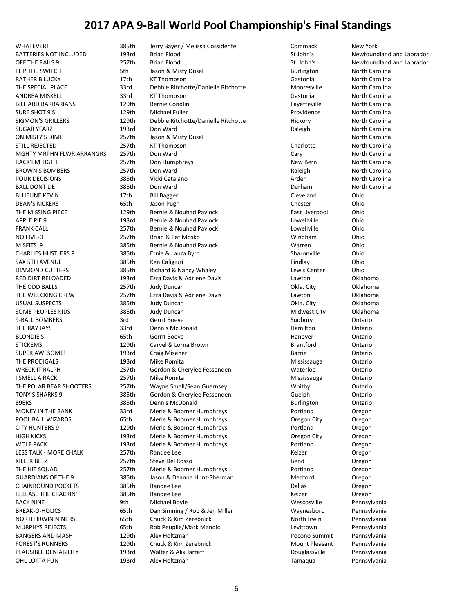WHATEVER! 1992 COMMATEVER! 385th Jerry Bayer / Melissa Cossidente Commack New York BATTERIES NOT INCLUDED 193rd Brian Flood 193rd Brian Flood St John's Newfoundland and Labrador OFF THE RAILS 9 257th Brian Flood St. John's Newfoundland and Labrador FLIP THE SWITCH 5th 5th Jason & Misty Dusel 6th Burlington Burlington North Carolina RATHER B LUCKY 17th KT Thompson Gastonia North Carolina THE SPECIAL PLACE 33rd Debbie Ritchotte/Danielle Ritchotte Mooresville North Carolina ANDREA MISKELL 33rd KT Thompson Gastonia North Carolina BILLIARD BARBARIANS **129th Bernie Condlin** Fayetteville Morth Carolina SURE SHOT 9'S 129th Michael Fuller **Communist Communist Communist Communist Communist Communist Communist Communist Communist Communist Communist Communist Communist Communist Communist Communist Communist Communist Commun** SIGMON'S GRILLERS **129th Debbie Ritchotte/Danielle Ritchotte 1200** Hickory North Carolina SUGAR YEARZ 193rd Don Ward Raleigh North Carolina ON MISTY'S DIME 257th Jason & Misty Dusel 250 April 2012 12:30 April 2012 12:30 April 2013 STILL REJECTED **257th KT Thompson** 257th Carolina Charlotte North Carolina MGHTY MRPHN FLWR ARRANGRS 257th Don Ward Cary Cary Cary North Carolina RACK'EM TIGHT **257th** Don Humphreys **New Bern** North Carolina BROWN'S BOMBERS **257th Don Ward Raleigh North Carolina** Raleigh North Carolina POUR DECISIONS **385th** Vicki Catalano **1996 120 Carolina** Arden North Carolina BALL DONT LIE **1985th Don Ward Communist Communist Communist Communist Communist Communist Communist Communist Communist Communist Communist Communist Communist Communist Communist Communist Communist Communist Communist C** BLUELINE KEVIN **17th** Bill Bagger **Cleveland** Ohio DEAN'S KICKERS 65th Jason Pugh Chester Ohio THE MISSING PIECE **129th** Bernie & Nouhad Pavlock **East Liverpool** Ohio APPLE PIE 9 193rd Bernie & Nouhad Pavlock 1930 Cowellville Chio FRANK CALL 257th Bernie & Nouhad Pavlock Lowellville Ohio NO FIVE‐O 257th Brian & Pat Mosko Windham Ohio MISFITS 9 385th Bernie & Nouhad Pavlock Warren Ohio CHARLIES HUSTLERS 9 385th Ernie & Laura Byrd Sharonville Ohio SAX 5TH AVENUE 385th Ken Caligiuri Findlay Ohio DIAMOND CUTTERS 385th Richard & Nancy Whaley Lewis Center Ohio RED DIRT RELOADED **193rd** Ezra Davis & Adriene Davis Lawton Lawton Cklahoma THE ODD BALLS 257th Judy Duncan Okla. City Oklahoma THE WRECKING CREW **257th** Ezra Davis & Adriene Davis Camera Care Lawton Change Change USUAL SUSPECTS 385th Judy Duncan Okla. City Oklahoma SOME PEOPLES KIDS **385th** Judy Duncan **1988** Judy Duncan Midwest City Oklahoma 9‐BALL BOMBERS 3rd Gerrit Boeve Sudbury Ontario THE RAY JAYS **33**rd Dennis McDonald **1988 Contact Account Contact Ontario** Ontario BLONDIE'S 65th Gerrit Boeve **Example 20 State Adda**tional BLONDIE'S **Contarion** STICKEMS 129th Carvel & Lorna Brown Brantford Ontario SUPER AWESOME! 193rd Craig Misener and the Barrie Barrie Chatario THE PRODIGALS 193rd Mike Romita Mississauga Ontario WRECK IT RALPH **257th Gordon & Cherylee Fessenden** Waterloo Materloo Ontario I SMELL A RACK 257th Mike Romita Mississauga Ontario THE POLAR BEAR SHOOTERS 257th Wayne Small/Sean Guernsey Whitby Ontario TONY'S SHARKS 9 385th Gordon & Cherylee Fessenden Guelph Guelph Chario 89ERS 685th Dennis McDonald Burlington Burlington Ontario MONEY IN THE BANK 33rd Merle & Boomer Humphreys Fortland Dregon POOL BALL WIZARDS **65th** Merle & Boomer Humphreys **Communication Communication** Oregon City Oregon CITY HUNTERS 9 129th Merle & Boomer Humphreys Portland Portland Oregon HIGH KICKS 193rd Merle & Boomer Humphreys Oregon City Oregon WOLF PACK 1930 193rd Merle & Boomer Humphreys The Portland Cregon LESS TALK - MORE CHALK **257th** Randee Lee **Communist Communist Communist Communist Communist Communist Communist Communist Communist Communist Communist Communist Communist Communist Communist Communist Communist Communist** KILLER BEEZ 257th Steve Del Rosso Bend Oregon THE HIT SQUAD 257th Merle & Boomer Humphreys Portland Oregon GUARDIANS OF THE 9 385th Jason & Deanna Hunt-Sherman Medford Medford Oregon CHAINBOUND POCKETS 385th Randee Lee **Dallas** Dallas Oregon RELEASE THE CRACKIN' **385th** Randee Lee **CRACKIN** Reizer Cregon BACK NINE THE SECONDUCT SERVILLE STATES OF MICHAEL BOYLE WORK WEST WESCOSVIlle The Pennsylvania BREAK-O-HOLICS **65th Dan Simning / Rob & Jen Miller** Waynesboro Pennsylvania NORTH IRWIN NINERS 65th Chuck & Kim Zerebnick North Irwin Pennsylvania MURPHYS REJECTS **65th** Rob Peuplie/Mark Mandic **Research Accord Pennsylvania** Pennsylvania BANGERS AND MASH 129th Alex Holtzman 129th Accono Summit Pennsylvania FOREST'S RUNNERS **129th** Chuck & Kim Zerebnick Mount Pleasant Pennsylvania PLAUSIBLE DENIABILITY **193rd** Walter & Alix Jarrett **Network Construent Construent Pennsylvania** OHL LOTTA FUN 193rd Alex Holtzman Tamaqua Pennsylvania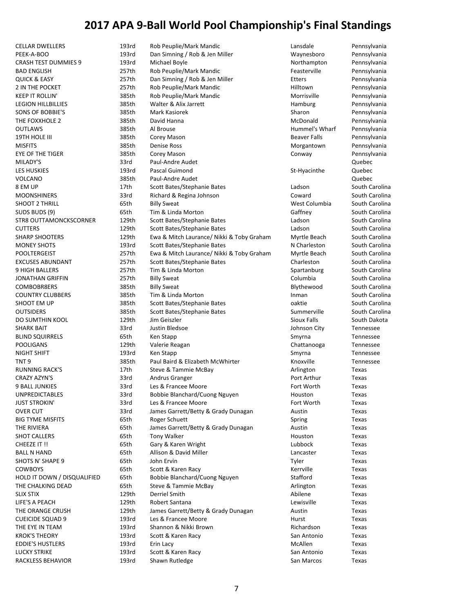CELLAR DWELLERS **193rd** Rob Peuplie/Mark Mandic **Lansdale** Pennsylvania PEEK‐A‐BOO 193rd Dan Simning / Rob & Jen Miller Waynesboro Pennsylvania CRASH TEST DUMMIES 9 193rd Michael Boyle Northampton Pennsylvania BAD ENGLISH 257th Rob Peuplie/Mark Mandic Feasterville Pennsylvania QUICK & EASY 257th Dan Simning / Rob & Jen Miller Etters Pennsylvania 2 IN THE POCKET 257th Rob Peuplie/Mark Mandic 2000 Hilltown Pennsylvania KEEP IT ROLLIN' 
SASSED AND PEUPLIE/Mark Mandic Contact Morrisville Pennsylvania LEGION HILLBILLIES **1996 1898** 385th Walter & Alix Jarrett **Hamburg** Hamburg Pennsylvania SONS OF BOBBIE'S SALL ASS AND A SESSENT Mark Kasiorek Sharon Sharon Sharon Pennsylvania THE FOXXHOLE 2 385th David Hanna McDonald Pennsylvania OUTLAWS **1985 1988 1988 1988 1988 1988 1988 1988 1998 1998 1998 1999 1999 1999 1999 1999 1999 1999 1999 1999 1999 1999 1999 1999 1999 1999 1999 1999 1999 1999 199** 19TH HOLE III 385th Corey Mason Beaver Falls Pennsylvania MISFITS 385th Denise Ross 385th Denise Ross 385th Denise Ross and Morgantown Pennsylvania EYE OF THE TIGER **EXECUTE:** 385th Corey Mason Convert Conway Conway Pennsylvania MILADY'S 33rd Paul‐Andre Audet Quebec LES HUSKIES 193rd Pascal Guimond St‐Hyacinthe Quebec VOLCANO 385th Paul-Andre Audet Communications of the Cuebec 8 EM UP 17th Scott Bates/Stephanie Bates Contract Ladson South Carolina MOONSHINERS 33rd Richard & Regina Johnson Coward South Carolina SHOOT 2 THRILL 65th Billy Sweat West Columbia South Carolina SUDS BUDS (9) 65th Tim & Linda Morton 65th Gaffney South Carolina STR8 OUTTAMONCKSCORNER 129th Scott Bates/Stephanie Bates Ladson Ladson South Carolina CUTTERS 129th Scott Bates/Stephanie Bates Ladson South Carolina SHARP SHOOTERS **129th Ewa & Mitch Laurance/ Nikki & Toby Graham** Myrtle Beach South Carolina MONEY SHOTS 193rd Scott Bates/Stephanie Bates NGharleston South Carolina POOLTERGEIST 257th Ewa & Mitch Laurance/ Nikki & Toby Graham Myrtle Beach South Carolina EXCUSES ABUNDANT 257th Scott Bates/Stephanie Bates Charleston South Carolina 9 HIGH BALLERS **257th Tim & Linda Morton** Spartanburg South Carolina Spartanburg South Carolina JONATHAN GRIFFIN 257th Billy Sweat Columbia South Carolina COMBOBR8ERS 385th Billy Sweat Blythewood South Carolina COUNTRY CLUBBERS 385th Tim & Linda Morton Inman Inman South Carolina SHOOT EM UP 385th Scott Bates/Stephanie Bates oaktie oaktie South Carolina OUTSIDERS **385th Scott Bates/Stephanie Bates** Summerville South Carolina 385th Scott Bates/Stephanie Bates Summerville DO SUMTHIN KOOL **129th** Jim Geiszler South Dakota Sioux Falls South Dakota SHARK BAIT 33rd Justin Bledsoe Johnson City Tennessee BLIND SQUIRRELS **65th** Ken Stapp Smyrna Smyrna Tennessee POOLIGANS 129th Valerie Reagan 129th Valerie Reagan Chattanooga Tennessee NIGHT SHIFT 193rd Ken Stapp Smyrna Tennessee TNT 9 385th Paul Baird & Elizabeth McWhirter Chronoville Knoxville Tennessee RUNNING RACK'S **17th** Steve & Tammie McBay **Arlington** Arlington Texas CRAZY AZYN'S CRAZY AZYN'S 33rd Andrus Granger and the Port Arthur Texas 9 BALL JUNKIES **1988** CHA States 233rd Les & Francee Moore 6 Australian Fort Worth Texas UNPREDICTABLES **33rd Bobbie Blanchard/Cuong Nguyen** Houston Texas JUST STROKIN' 
STARD AND HER ALL TO LES & Francee Moore

THE ARROR STARD TO THE SARD TEXAS OVER CUT **1.23** CUT 33rd James Garrett/Betty & Grady Dunagan Austin Texas BIG TYME MISFITS **SUIT ASSESS** 65th Roger Schuett Spring Spring Spring Texas THE RIVIERA **65th** James Garrett/Betty & Grady Dunagan Austin Texas SHOT CALLERS 65th Tony Walker Houston Texas CHEEZE IT !! 65th Gary & Karen Wright CHEEZE IT !! Lubbock Texas BALL N HAND **65th** Allison & David Miller Allison & David Miller **Lancaster** Texas SHOTS N' SHAPE 9 65th John Ervin The Channel True Texas Texas COWBOYS 65th Scott & Karen Racy Kerrville Texas HOLD IT DOWN / DISQUALIFIED 65th Bobbie Blanchard/Cuong Nguyen Stafford Texas THE CHALKING DEAD **65th** Steve & Tammie McBay **Arlington** Arlington Texas SLIX STIX 129th Derriel Smith Sulla Propose and Abilene Texas LIFE'S A PEACH 129th Robert Santana Lewisville Texas THE ORANGE CRUSH 129th James Garrett/Betty & Grady Dunagan Austin Texas CUEICIDE SQUAD 9 193rd Les & Francee Moore 1930 1997 Hurst Hurst Texas THE EYE IN TEAM 193rd Shannon & Nikki Brown Texas Richardson Texas KROK'S THEORY **193rd** Scott & Karen Racy **San Antonio** Texas EDDIE'S HUSTLERS **193rd** Erin Lacy **193rd Example 2008** McAllen Texas LUCKY STRIKE 193rd Scott & Karen Racy 1937 San Antonio Texas RACKLESS BEHAVIOR **193rd** Shawn Rutledge Shawn Rutledge San Marcos Texas